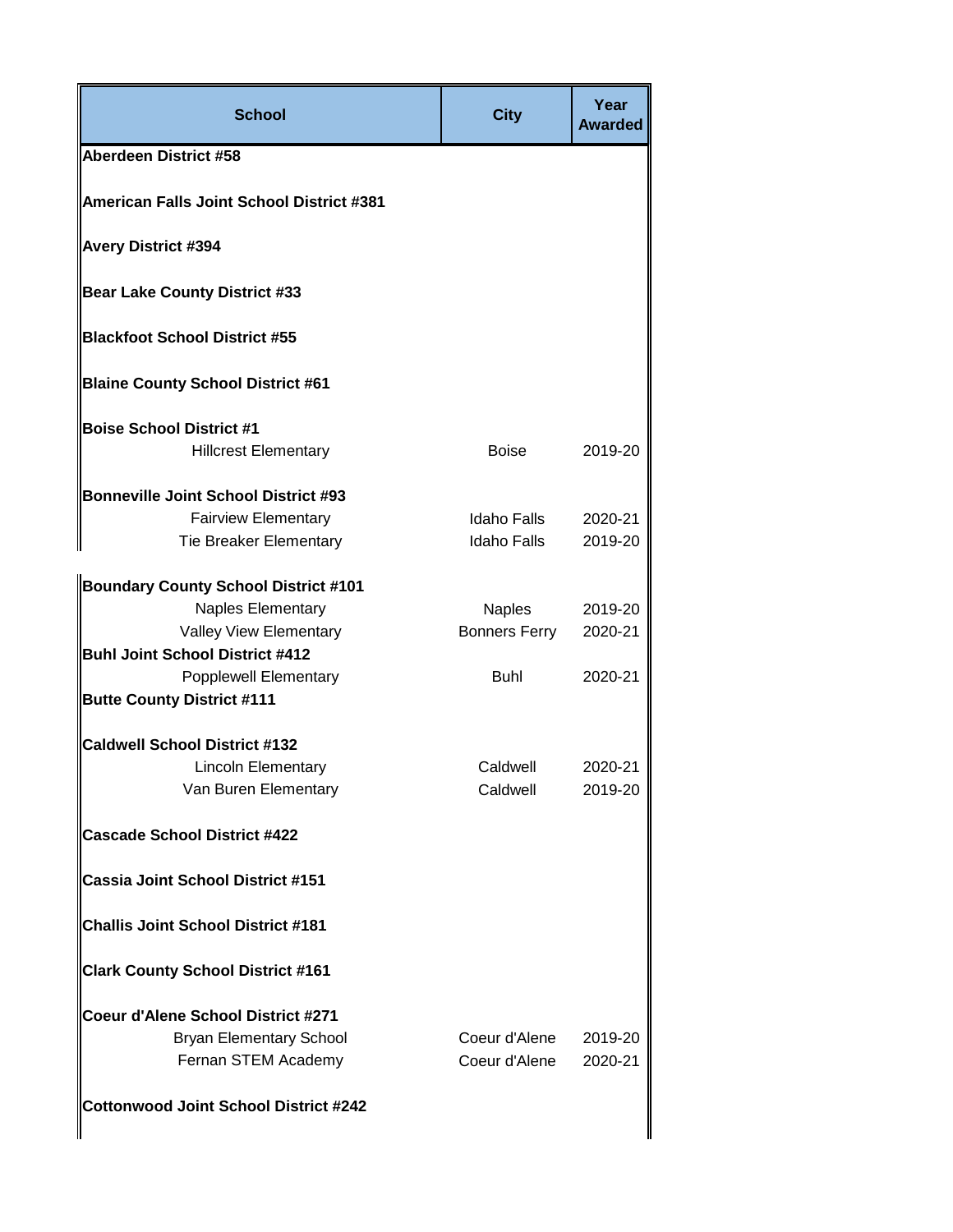| <b>School</b>                                | <b>City</b>          | Year<br><b>Awarded</b> |
|----------------------------------------------|----------------------|------------------------|
| <b>Aberdeen District #58</b>                 |                      |                        |
| American Falls Joint School District #381    |                      |                        |
| <b>Avery District #394</b>                   |                      |                        |
| <b>Bear Lake County District #33</b>         |                      |                        |
| <b>Blackfoot School District #55</b>         |                      |                        |
| <b>Blaine County School District #61</b>     |                      |                        |
| <b>Boise School District #1</b>              |                      |                        |
| <b>Hillcrest Elementary</b>                  | <b>Boise</b>         | 2019-20                |
| <b>Bonneville Joint School District #93</b>  |                      |                        |
| <b>Fairview Elementary</b>                   | Idaho Falls          | 2020-21                |
| <b>Tie Breaker Elementary</b>                | Idaho Falls          | 2019-20                |
| <b>Boundary County School District #101</b>  |                      |                        |
| Naples Elementary                            | <b>Naples</b>        | 2019-20                |
| Valley View Elementary                       | <b>Bonners Ferry</b> | 2020-21                |
| <b>Buhl Joint School District #412</b>       |                      |                        |
| <b>Popplewell Elementary</b>                 | <b>Buhl</b>          | 2020-21                |
| <b>Butte County District #111</b>            |                      |                        |
| <b>Caldwell School District #132</b>         |                      |                        |
| <b>Lincoln Elementary</b>                    | Caldwell             | 2020-21                |
| Van Buren Elementary                         | Caldwell             | 2019-20                |
| <b>Cascade School District #422</b>          |                      |                        |
| <b>Cassia Joint School District #151</b>     |                      |                        |
| <b>Challis Joint School District #181</b>    |                      |                        |
| <b>Clark County School District #161</b>     |                      |                        |
| Coeur d'Alene School District #271           |                      |                        |
| <b>Bryan Elementary School</b>               | Coeur d'Alene        | 2019-20                |
| Fernan STEM Academy                          | Coeur d'Alene        | 2020-21                |
| <b>Cottonwood Joint School District #242</b> |                      |                        |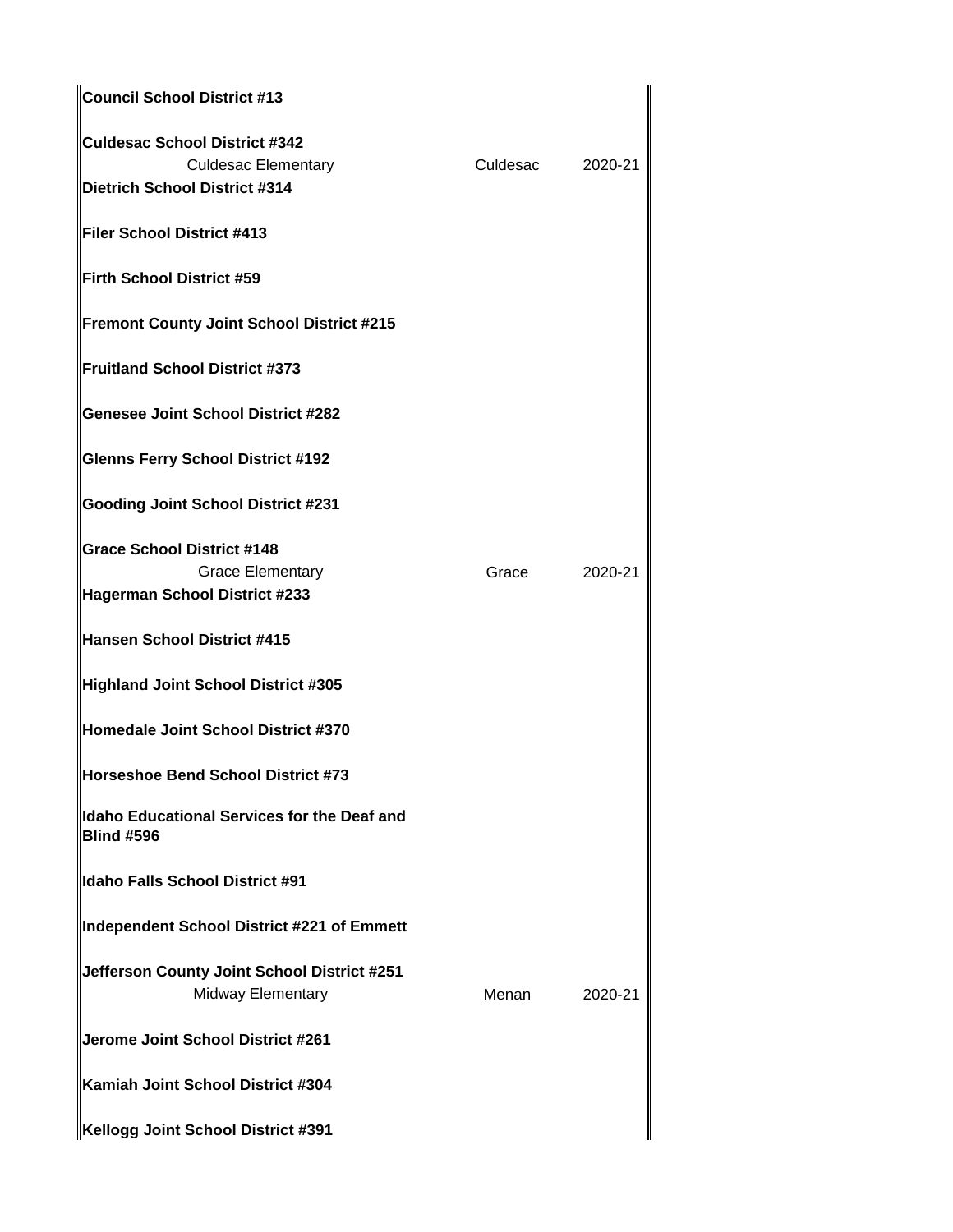| Council School District #13                                             |          |         |
|-------------------------------------------------------------------------|----------|---------|
| Culdesac School District #342                                           |          |         |
| <b>Culdesac Elementary</b><br>Dietrich School District #314             | Culdesac | 2020-21 |
| llFiler School District #413                                            |          |         |
| Firth School District #59                                               |          |         |
| Fremont County Joint School District #215                               |          |         |
| Fruitland School District #373                                          |          |         |
| <b>Genesee Joint School District #282</b>                               |          |         |
| <b>Glenns Ferry School District #192</b>                                |          |         |
| <b>Gooding Joint School District #231</b>                               |          |         |
| <b>Grace School District #148</b>                                       |          |         |
| <b>Grace Elementary</b><br>Hagerman School District #233                | Grace    | 2020-21 |
| Hansen School District #415                                             |          |         |
| Highland Joint School District #305                                     |          |         |
| Homedale Joint School District #370                                     |          |         |
| Horseshoe Bend School District #73                                      |          |         |
| llIdaho Educational Services for the Deaf and<br><b>Blind #596</b>      |          |         |
| Idaho Falls School District #91                                         |          |         |
| Independent School District #221 of Emmett                              |          |         |
| Jefferson County Joint School District #251<br><b>Midway Elementary</b> | Menan    | 2020-21 |
| Jerome Joint School District #261                                       |          |         |
| Kamiah Joint School District #304                                       |          |         |
| Kellogg Joint School District #391                                      |          |         |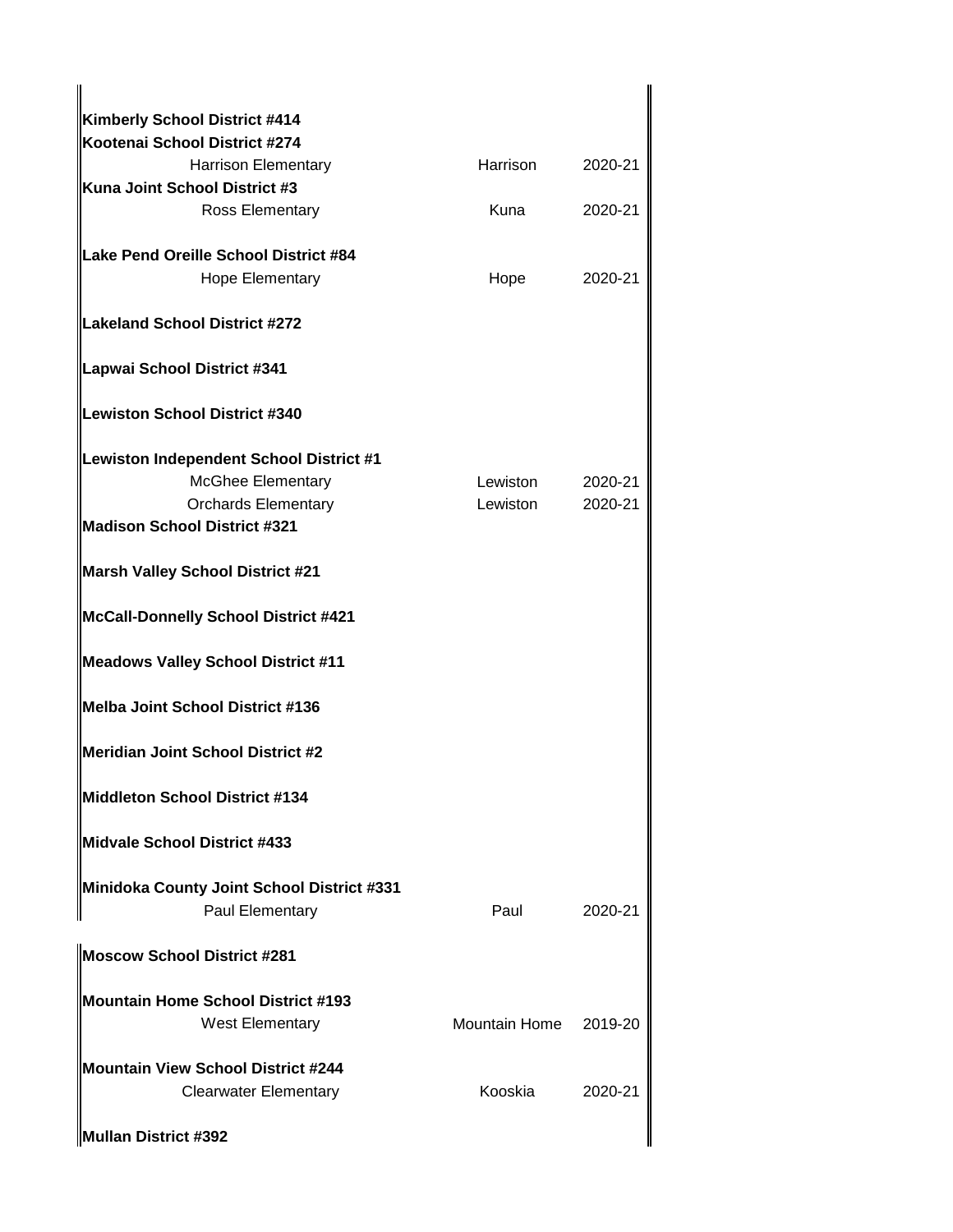| Kimberly School District #414                                             |                       |         |
|---------------------------------------------------------------------------|-----------------------|---------|
| Kootenai School District #274                                             |                       |         |
| <b>Harrison Elementary</b>                                                | <b>Harrison</b>       | 2020-21 |
| Kuna Joint School District #3                                             |                       |         |
| <b>Ross Elementary</b>                                                    | Kuna                  | 2020-21 |
| Lake Pend Oreille School District #84                                     |                       |         |
| <b>Hope Elementary</b>                                                    | Hope                  | 2020-21 |
| <b>Lakeland School District #272</b>                                      |                       |         |
| Lapwai School District #341                                               |                       |         |
| Lewiston School District #340                                             |                       |         |
| Lewiston Independent School District #1                                   |                       |         |
| <b>McGhee Elementary</b>                                                  | Lewiston              | 2020-21 |
| <b>Orchards Elementary</b>                                                | Lewiston              | 2020-21 |
| <b>Madison School District #321</b>                                       |                       |         |
| <b>Marsh Valley School District #21</b>                                   |                       |         |
| McCall-Donnelly School District #421                                      |                       |         |
| Meadows Valley School District #11                                        |                       |         |
| Melba Joint School District #136                                          |                       |         |
| Meridian Joint School District #2                                         |                       |         |
| Middleton School District #134                                            |                       |         |
| Midvale School District #433                                              |                       |         |
| Minidoka County Joint School District #331<br>Paul Elementary             | Paul                  | 2020-21 |
| <b>Moscow School District #281</b>                                        |                       |         |
| <b>Mountain Home School District #193</b>                                 |                       |         |
| <b>West Elementary</b>                                                    | Mountain Home 2019-20 |         |
|                                                                           |                       |         |
| <b>Mountain View School District #244</b><br><b>Clearwater Elementary</b> | Kooskia               | 2020-21 |
| Mullan District #392                                                      |                       |         |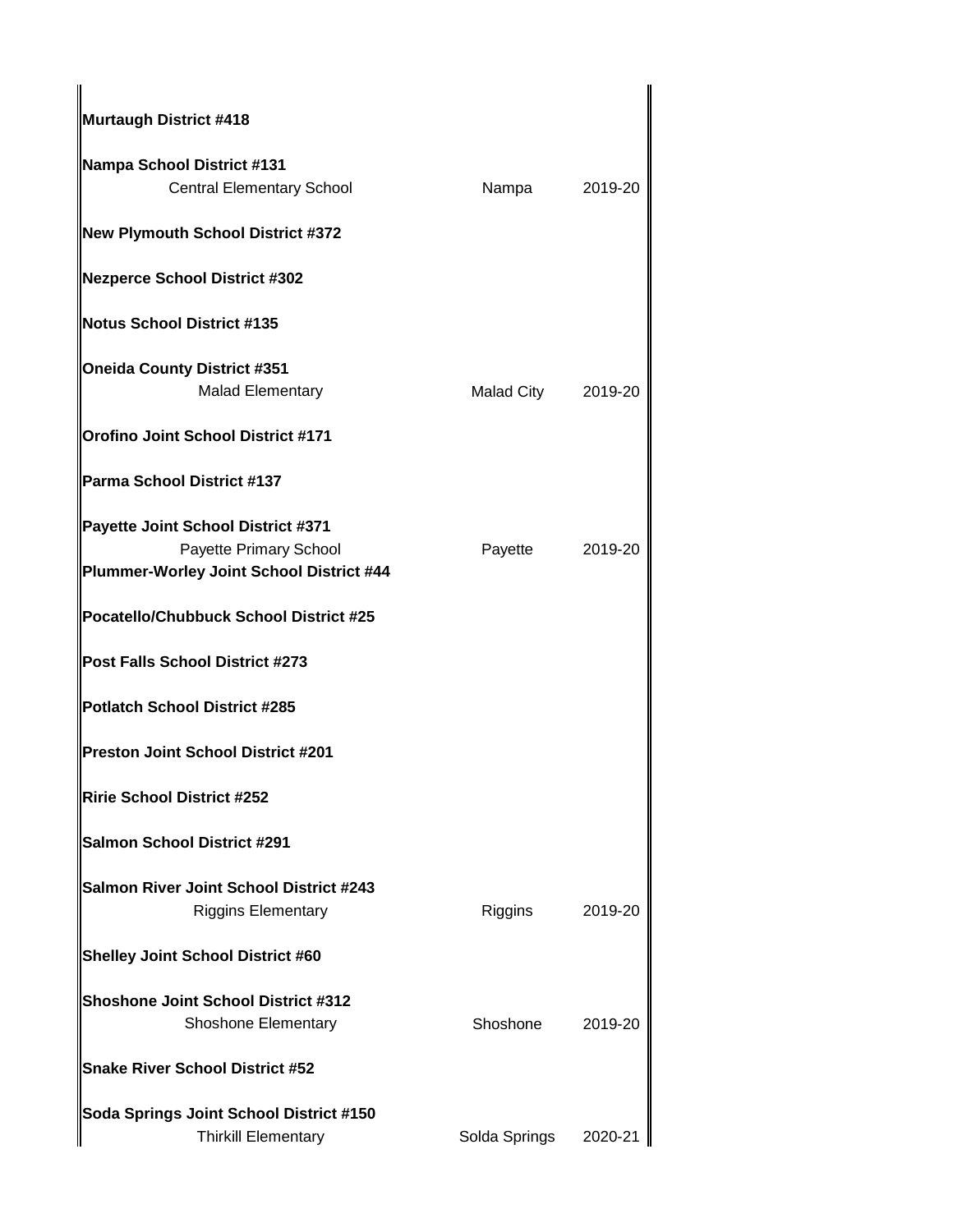| Murtaugh District #418                                                                                   |                    |         |
|----------------------------------------------------------------------------------------------------------|--------------------|---------|
| Nampa School District #131<br><b>Central Elementary School</b>                                           | Nampa              | 2019-20 |
| New Plymouth School District #372                                                                        |                    |         |
| Nezperce School District #302                                                                            |                    |         |
| Notus School District #135                                                                               |                    |         |
| <b>Oneida County District #351</b><br><b>Malad Elementary</b>                                            | Malad City 2019-20 |         |
| Orofino Joint School District #171                                                                       |                    |         |
| <b>Parma School District #137</b>                                                                        |                    |         |
| Payette Joint School District #371<br>Payette Primary School<br>Plummer-Worley Joint School District #44 | Payette            | 2019-20 |
| Pocatello/Chubbuck School District #25                                                                   |                    |         |
| Post Falls School District #273                                                                          |                    |         |
| Potlatch School District #285                                                                            |                    |         |
| Preston Joint School District #201                                                                       |                    |         |
| Ririe School District #252                                                                               |                    |         |
| <b>Salmon School District #291</b>                                                                       |                    |         |
| Salmon River Joint School District #243<br><b>Riggins Elementary</b>                                     | Riggins            | 2019-20 |
| <b>Shelley Joint School District #60</b>                                                                 |                    |         |
| <b>Shoshone Joint School District #312</b><br><b>Shoshone Elementary</b>                                 | Shoshone           | 2019-20 |
| <b>Snake River School District #52</b>                                                                   |                    |         |
| Soda Springs Joint School District #150<br><b>Thirkill Elementary</b>                                    | Solda Springs      | 2020-21 |